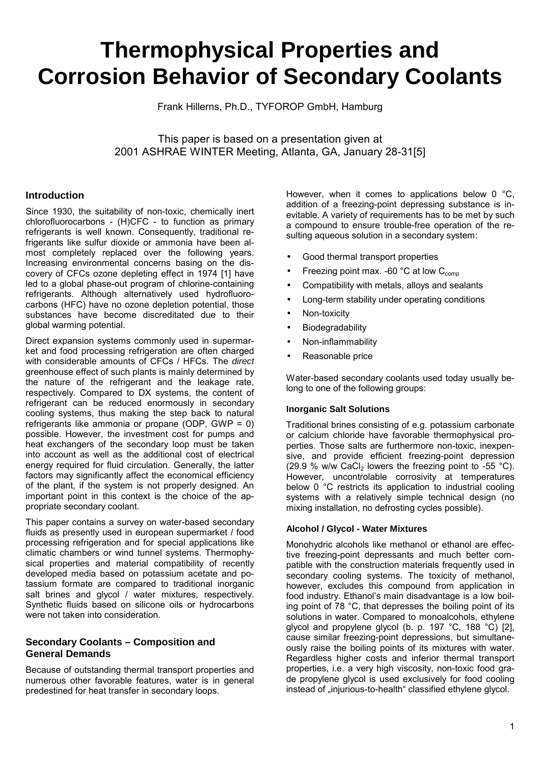# **Thermophysical Properties and Corrosion Behavior of Secondary Coolants**

Frank Hillerns, Ph.D., TYFOROP GmbH, Hamburg

This paper is based on a presentation given at 2001 ASHRAE WINTER Meeting, Atlanta, GA, January 28-31[5]

# **Introduction**

Since 1930, the suitability of non-toxic, chemically inert chlorofluorocarbons - (H)CFC - to function as primary refrigerants is well known. Consequently, traditional refrigerants like sulfur dioxide or ammonia have been almost completely replaced over the following years. Increasing environmental concerns basing on the discovery of CFCs ozone depleting effect in 1974 [1] have led to a global phase-out program of chlorine-containing refrigerants. Although alternatively used hydrofluorocarbons (HFC) have no ozone depletion potential, those substances have become discreditated due to their global warming potential.

Direct expansion systems commonly used in supermarket and food processing refrigeration are often charged with considerable amounts of CFCs / HFCs. The *direct* greenhouse effect of such plants is mainly determined by the nature of the refrigerant and the leakage rate, respectively. Compared to DX systems, the content of refrigerant can be reduced enormously in secondary cooling systems, thus making the step back to natural refrigerants like ammonia or propane (ODP, GWP = 0) possible. However, the investment cost for pumps and heat exchangers of the secondary loop must be taken into account as well as the additional cost of electrical energy required for fluid circulation. Generally, the latter factors may significantly affect the economical efficiency of the plant, if the system is not properly designed. An important point in this context is the choice of the appropriate secondary coolant.

This paper contains a survey on water-based secondary fluids as presently used in european supermarket / food processing refrigeration and for special applications like climatic chambers or wind tunnel systems. Thermophysical properties and material compatibility of recently developed media based on potassium acetate and potassium formate are compared to traditional inorganic salt brines and glycol / water mixtures, respectively. Synthetic fluids based on silicone oils or hydrocarbons were not taken into consideration.

# **Secondary Coolants – Composition and General Demands**

Because of outstanding thermal transport properties and numerous other favorable features, water is in general predestined for heat transfer in secondary loops.

However, when it comes to applications below 0 °C, addition of a freezing-point depressing substance is inevitable. A variety of requirements has to be met by such a compound to ensure trouble-free operation of the resulting aqueous solution in a secondary system:

- Good thermal transport properties
- Freezing point max. -60  $^{\circ}$ C at low C<sub>comp</sub>
- Compatibility with metals, alloys and sealants
- Long-term stability under operating conditions
- Non-toxicity
- Biodegradability
- Non-inflammability
- Reasonable price

Water-based secondary coolants used today usually belong to one of the following groups:

### **Inorganic Salt Solutions**

Traditional brines consisting of e.g. potassium carbonate or calcium chloride have favorable thermophysical properties. Those salts are furthermore non-toxic, inexpensive, and provide efficient freezing-point depression (29.9 % w/w CaCl<sub>2</sub> lowers the freezing point to -55 °C). However, uncontrolable corrosivity at temperatures below 0 °C restricts its application to industrial cooling systems with a relatively simple technical design (no mixing installation, no defrosting cycles possible).

### **Alcohol / Glycol - Water Mixtures**

Monohydric alcohols like methanol or ethanol are effective freezing-point depressants and much better compatible with the construction materials frequently used in secondary cooling systems. The toxicity of methanol, however, excludes this compound from application in food industry. Ethanol's main disadvantage is a low boiling point of 78 °C, that depresses the boiling point of its solutions in water. Compared to monoalcohols, ethylene glycol and propylene glycol (b. p. 197 °C, 188 °C) [2], cause similar freezing-point depressions, but simultaneously raise the boiling points of its mixtures with water. Regardless higher costs and inferior thermal transport properties, i.e. a very high viscosity, non-toxic food grade propylene glycol is used exclusively for food cooling instead of "injurious-to-health" classified ethylene glycol.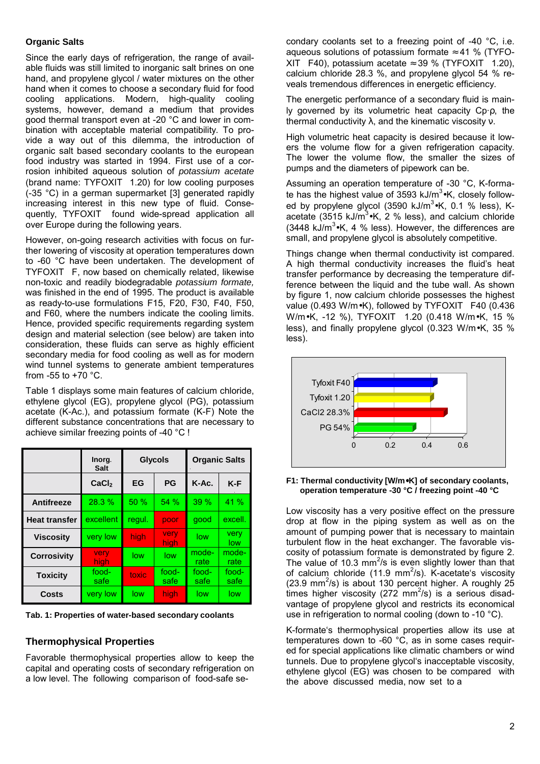## **Organic Salts**

Since the early days of refrigeration, the range of available fluids was still limited to inorganic salt brines on one hand, and propylene glycol / water mixtures on the other hand when it comes to choose a secondary fluid for food cooling applications. Modern, high-quality cooling systems, however, demand a medium that provides good thermal transport even at -20 °C and lower in combination with acceptable material compatibility. To provide a way out of this dilemma, the introduction of organic salt based secondary coolants to the european food industry was started in 1994. First use of a corrosion inhibited aqueous solution of *potassium acetate* (brand name:  $TYFOXIT^<sup>®</sup>$  1.20) for low cooling purposes (-35 °C) in a german supermarket [3] generated rapidly increasing interest in this new type of fluid. Consequently,  $TYFOXIT<sup>®</sup>$  found wide-spread application all over Europe during the following years.

However, on-going research activities with focus on further lowering of viscosity at operation temperatures down to -60 °C have been undertaken. The development of  $TYFOXIT<sup>®</sup>$  F, now based on chemically related, likewise non-toxic and readily biodegradable *potassium formate,* was finished in the end of 1995. The product is available as ready-to-use formulations F15, F20, F30, F40, F50, and F60, where the numbers indicate the cooling limits. Hence, provided specific requirements regarding system design and material selection (see below) are taken into consideration, these fluids can serve as highly efficient secondary media for food cooling as well as for modern wind tunnel systems to generate ambient temperatures from -55 to  $+70$  °C.

Table 1 displays some main features of calcium chloride, ethylene glycol (EG), propylene glycol (PG), potassium acetate (K-Ac.), and potassium formate (K-F) Note the different substance concentrations that are necessary to achieve similar freezing points of -40 °C !

|                      | Inorg.<br><b>Salt</b> | <b>Glycols</b> |                     | <b>Organic Salts</b> |               |  |
|----------------------|-----------------------|----------------|---------------------|----------------------|---------------|--|
|                      | CaCl <sub>2</sub>     | EG             | PG                  | K-Ac.                | $K-F$         |  |
| Antifreeze           | 28.3 %                | 50 %           | 54 %                | 39%                  | 41 %          |  |
| <b>Heat transfer</b> | excellent             | regul.         | poor                | good                 | excell.       |  |
| <b>Viscosity</b>     | very low              | high           | very<br><b>high</b> | low                  | very<br>low   |  |
| <b>Corrosivity</b>   | very<br>high          | low            | low                 | mode-<br>rate        | mode-<br>rate |  |
| <b>Toxicity</b>      | food-<br>safe         | toxic          | food-<br>safe       | food-<br>safe        | food-<br>safe |  |
| Costs                | very low              | low            | high                | low                  | low           |  |

**Tab. 1: Properties of water-based secondary coolants**

# **Thermophysical Properties**

Favorable thermophysical properties allow to keep the capital and operating costs of secondary refrigeration on a low level. The following comparison of food-safe se-

condary coolants set to a freezing point of -40 °C, i.e. aqueous solutions of potassium formate  $\approx$  41 % (TYFO-XIT<sup>®</sup> F40), potassium acetate  $\approx$  39 % (TYFOXIT<sup>®</sup> 1.20), calcium chloride 28.3 %, and propylene glycol 54 % reveals tremendous differences in energetic efficiency.

The energetic performance of a secondary fluid is mainly governed by its volumetric heat capacity Cp·ρ, the thermal conductivity λ, and the kinematic viscosity ν.

High volumetric heat capacity is desired because it lowers the volume flow for a given refrigeration capacity. The lower the volume flow, the smaller the sizes of pumps and the diameters of pipework can be.

Assuming an operation temperature of -30 °C, K-formate has the highest value of 3593 kJ/m<sup>3</sup>•K, closely followed by propylene glycol (3590 kJ/m<sup>3</sup>•K, 0.1 % less), Kacetate (3515 kJ/m<sup>3</sup>•K, 2 % less), and calcium chloride (3448 kJ/m<sup>3</sup> $\cdot$ K, 4 % less). However, the differences are small, and propylene glycol is absolutely competitive.

Things change when thermal conductivity ist compared. A high thermal conductivity increases the fluid's heat transfer performance by decreasing the temperature difference between the liquid and the tube wall. As shown by figure 1, now calcium chloride possesses the highest value (0.493 W/m•K), followed by TYFOXIT<sup>®</sup> F40 (0.436 W/m•K, -12 %), TYFOXIT<sup>®</sup> 1.20 (0.418 W/m•K, 15 % less), and finally propylene glycol (0.323 W/m•K, 35 % less).



**F1: Thermal conductivity [W/m**•**K] of secondary coolants, operation temperature -30 °C / freezing point -40 °C**

Low viscosity has a very positive effect on the pressure drop at flow in the piping system as well as on the amount of pumping power that is necessary to maintain turbulent flow in the heat exchanger. The favorable viscosity of potassium formate is demonstrated by figure 2. The value of 10.3 mm<sup>2</sup>/s is even slightly lower than that of calcium chloride (11.9 mm<sup>2</sup>/s). K-acetate's viscosity  $(23.9 \text{ mm}^2/\text{s})$  is about 130 percent higher. A roughly 25 times higher viscosity (272 mm<sup>2</sup>/s) is a serious disadvantage of propylene glycol and restricts its economical use in refrigeration to normal cooling (down to -10 °C).

K-formate's thermophysical properties allow its use at temperatures down to -60 °C, as in some cases required for special applications like climatic chambers or wind tunnels. Due to propylene glycol's inacceptable viscosity, ethylene glycol (EG) was chosen to be compared with the above discussed media, now set to a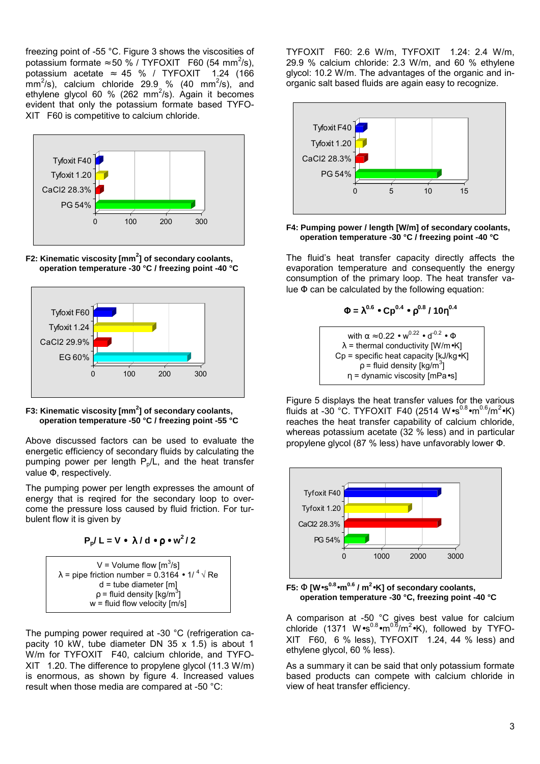freezing point of -55 °C. Figure 3 shows the viscosities of potassium formate  $\approx 50\%$  / TYFOXIT<sup>®</sup> F60 (54 mm<sup>2</sup>/s), potassium acetate  $\approx$  45 % / TYFOXIT<sup>®</sup> 1.24 (166  $\textsf{mm}^2\text{/s}$ ), calcium chloride 29.9 % (40 mm $^2\text{/s}$ ), and ethylene glycol 60 % (262 mm<sup>2</sup>/s). Again it becomes evident that only the potassium formate based TYFO- $XIT^{\circledcirc}$  F60 is competitive to calcium chloride.



**F2: Kinematic viscosity [mm<sup>2</sup> ] of secondary coolants, operation temperature -30 °C / freezing point -40 °C**





Above discussed factors can be used to evaluate the energetic efficiency of secondary fluids by calculating the pumping power per length  $P_p/L$ , and the heat transfer value Φ, respectively.

The pumping power per length expresses the amount of energy that is reqired for the secondary loop to overcome the pressure loss caused by fluid friction. For turbulent flow it is given by

$$
P_p/L = V \bullet \lambda / d \bullet p \bullet w^2 / 2
$$

$$
V = Volume flow [m3/s]
$$
  
\n
$$
\lambda = pipe friction number = 0.3164 \cdot 1/ ^4 \sqrt{Re}
$$
  
\n
$$
d = tube diameter [m]
$$
  
\n
$$
\rho = fluid density [kg/m3]
$$
  
\n
$$
w = fluid flow velocity [m/s]
$$

The pumping power required at -30 °C (refrigeration capacity 10 kW, tube diameter DN 35 x 1.5) is about 1 W/m for  $TYFOXIT^<sup>®</sup> F40$ , calcium chloride, and  $TYFO XIT^@$  1.20. The difference to propylene glycol (11.3 W/m) is enormous, as shown by figure 4. Increased values result when those media are compared at -50 °C:

TYFOXIT<sup>®</sup> F60: 2.6 W/m, TYFOXIT<sup>®</sup> 1.24: 2.4 W/m, 29.9 % calcium chloride: 2.3 W/m, and 60 % ethylene glycol: 10.2 W/m. The advantages of the organic and inorganic salt based fluids are again easy to recognize.



**F4: Pumping power / length [W/m] of secondary coolants, operation temperature -30 °C / freezing point -40 °C**

The fluidís heat transfer capacity directly affects the evaporation temperature and consequently the energy consumption of the primary loop. The heat transfer value  $\Phi$  can be calculated by the following equation:

$$
\Phi = \lambda^{0.6} \bullet \text{Cp}^{0.4} \bullet \rho^{0.8} / 10 \eta^{0.4}
$$

with  $\alpha \approx 0.22 \cdot w^{0.22} \cdot d^{-0.2} \cdot \Phi$  $\lambda$  = thermal conductivity [W/m•K]  $Cp$  = specific heat capacity  $[kJ/kg \bullet K]$  $\mathsf{p}$  = fluid density [kg/m $^3$ ] η = dynamic viscosity [mPa•s]

Figure 5 displays the heat transfer values for the various fluids at -30 °C. TYFOXIT<sup>®</sup>F40 (2514 W∙s<sup>0.8</sup>∙m<sup>0.6</sup>/m<sup>2</sup>∙K) reaches the heat transfer capability of calcium chloride, whereas potassium acetate (32 % less) and in particular propylene glycol (87 % less) have unfavorably lower Φ.



**F5:** Φ **[W**•**s0.8**•**m0.6 / m2** •**K] of secondary coolants, operation temperature -30 °C, freezing point -40 °C**

A comparison at -50 °C gives best value for calcium chloride (1371 W∙s<sup>0.8</sup>∙m<sup>0.6</sup>/m<sup>2</sup>∙K), followed by TYFO- $XIT^{\circledcirc}$  F60, 6 % less), TYFOXIT $^{\circledcirc}$  1.24, 44 % less) and ethylene glycol, 60 % less).

As a summary it can be said that only potassium formate based products can compete with calcium chloride in view of heat transfer efficiency.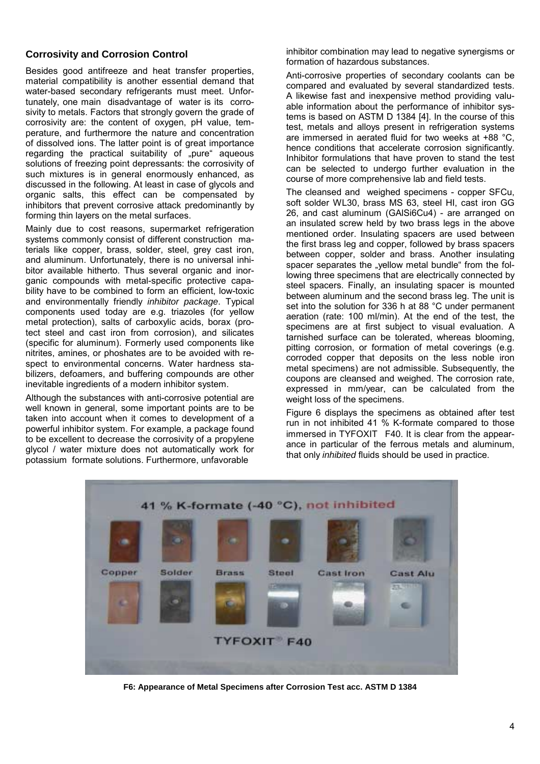# **Corrosivity and Corrosion Control**

Besides good antifreeze and heat transfer properties, material compatibility is another essential demand that water-based secondary refrigerants must meet. Unfortunately, one main disadvantage of water is its corrosivity to metals. Factors that strongly govern the grade of corrosivity are: the content of oxygen, pH value, temperature, and furthermore the nature and concentration of dissolved ions. The latter point is of great importance regarding the practical suitability of "pure" aqueous solutions of freezing point depressants: the corrosivity of such mixtures is in general enormously enhanced, as discussed in the following. At least in case of glycols and organic salts, this effect can be compensated by inhibitors that prevent corrosive attack predominantly by forming thin layers on the metal surfaces.

Mainly due to cost reasons, supermarket refrigeration systems commonly consist of different construction materials like copper, brass, solder, steel, grey cast iron, and aluminum. Unfortunately, there is no universal inhibitor available hitherto. Thus several organic and inorganic compounds with metal-specific protective capability have to be combined to form an efficient, low-toxic and environmentally friendly *inhibitor package*. Typical components used today are e.g. triazoles (for yellow metal protection), salts of carboxylic acids, borax (protect steel and cast iron from corrosion), and silicates (specific for aluminum). Formerly used components like nitrites, amines, or phoshates are to be avoided with respect to environmental concerns. Water hardness stabilizers, defoamers, and buffering compounds are other inevitable ingredients of a modern inhibitor system.

Although the substances with anti-corrosive potential are well known in general, some important points are to be taken into account when it comes to development of a powerful inhibitor system. For example, a package found to be excellent to decrease the corrosivity of a propylene glycol / water mixture does not automatically work for potassium formate solutions. Furthermore, unfavorable

inhibitor combination may lead to negative synergisms or formation of hazardous substances.

Anti-corrosive properties of secondary coolants can be compared and evaluated by several standardized tests. A likewise fast and inexpensive method providing valuable information about the performance of inhibitor systems is based on ASTM D 1384 [4]. In the course of this test, metals and alloys present in refrigeration systems are immersed in aerated fluid for two weeks at +88 °C, hence conditions that accelerate corrosion significantly. Inhibitor formulations that have proven to stand the test can be selected to undergo further evaluation in the course of more comprehensive lab and field tests.

The cleansed and weighed specimens - copper SFCu, soft solder WL30, brass MS 63, steel HI, cast iron GG 26, and cast aluminum (GAlSi6Cu4) - are arranged on an insulated screw held by two brass legs in the above mentioned order. Insulating spacers are used between the first brass leg and copper, followed by brass spacers between copper, solder and brass. Another insulating spacer separates the "vellow metal bundle" from the following three specimens that are electrically connected by steel spacers. Finally, an insulating spacer is mounted between aluminum and the second brass leg. The unit is set into the solution for 336 h at 88 °C under permanent aeration (rate: 100 ml/min). At the end of the test, the specimens are at first subject to visual evaluation. A tarnished surface can be tolerated, whereas blooming, pitting corrosion, or formation of metal coverings (e.g. corroded copper that deposits on the less noble iron metal specimens) are not admissible. Subsequently, the coupons are cleansed and weighed. The corrosion rate, expressed in mm/year, can be calculated from the weight loss of the specimens.

Figure 6 displays the specimens as obtained after test run in not inhibited 41 % K-formate compared to those immersed in  $TYFOXIT^<sup>®</sup> F40.$  It is clear from the appearance in particular of the ferrous metals and aluminum, that only *inhibited* fluids should be used in practice.



**F6: Appearance of Metal Specimens after Corrosion Test acc. ASTM D 1384**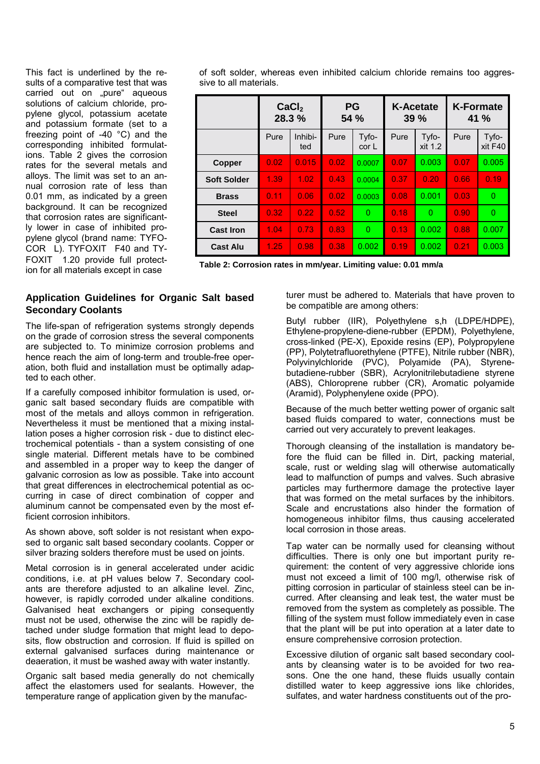This fact is underlined by the results of a comparative test that was carried out on "pure" aqueous solutions of calcium chloride, propylene glycol, potassium acetate and potassium formate (set to a freezing point of -40 °C) and the corresponding inhibited formulations. Table 2 gives the corrosion rates for the several metals and alloys. The limit was set to an annual corrosion rate of less than 0.01 mm, as indicated by a green background. It can be recognized that corrosion rates are significantly lower in case of inhibited propylene glycol (brand name: TYFO- $COR<sup>®</sup>$  L). TYFOXIT<sup>®</sup> F40 and TY- $FOXIT^<sup>®</sup>$  1.20 provide full protection for all materials except in case

of soft solder, whereas even inhibited calcium chloride remains too aggressive to all materials.

|                    | CaCl <sub>2</sub><br>28.3% |                | <b>PG</b><br><b>54 %</b> |                           | <b>K-Acetate</b><br>39% |                  | <b>K-Formate</b><br><b>41</b> % |                  |
|--------------------|----------------------------|----------------|--------------------------|---------------------------|-------------------------|------------------|---------------------------------|------------------|
|                    | Pure                       | Inhibi-<br>ted | Pure                     | Tyfo-<br>cor <sub>L</sub> | Pure                    | Tyfo-<br>xit 1.2 | Pure                            | Tyfo-<br>xit F40 |
| Copper             | 0.02                       | 0.015          | 0.02                     | 0.0007                    | 0.07                    | 0.003            | 0.07                            | 0.005            |
| <b>Soft Solder</b> | 1.39                       | 1.02           | 0.43                     | 0.0004                    | 0.37                    | 0.20             | 0.66                            | 0.19             |
| <b>Brass</b>       | 0.11                       | 0.06           | 0.02                     | 0.0003                    | 0.08                    | 0.001            | 0.03                            | $\Omega$         |
| <b>Steel</b>       | 0.32                       | 0.22           | 0.52                     | 0                         | 0.18                    | $\Omega$         | 0.90                            | $\Omega$         |
| <b>Cast Iron</b>   | 1.04                       | 0.73           | 0.83                     | $\Omega$                  | 0.13                    | 0.002            | 0.88                            | 0.007            |
| <b>Cast Alu</b>    | 1.25                       | 0.98           | 0.38                     | 0.002                     | 0.19                    | 0.002            | 0.21                            | 0.003            |

**Table 2: Corrosion rates in mm/year. Limiting value: 0.01 mm/a**

## **Application Guidelines for Organic Salt based Secondary Coolants**

The life-span of refrigeration systems strongly depends on the grade of corrosion stress the several components are subjected to. To minimize corrosion problems and hence reach the aim of long-term and trouble-free operation, both fluid and installation must be optimally adapted to each other.

If a carefully composed inhibitor formulation is used, organic salt based secondary fluids are compatible with most of the metals and alloys common in refrigeration. Nevertheless it must be mentioned that a mixing installation poses a higher corrosion risk - due to distinct electrochemical potentials - than a system consisting of one single material. Different metals have to be combined and assembled in a proper way to keep the danger of galvanic corrosion as low as possible. Take into account that great differences in electrochemical potential as occurring in case of direct combination of copper and aluminum cannot be compensated even by the most efficient corrosion inhibitors.

As shown above, soft solder is not resistant when exposed to organic salt based secondary coolants. Copper or silver brazing solders therefore must be used on joints.

Metal corrosion is in general accelerated under acidic conditions, i.e. at pH values below 7. Secondary coolants are therefore adjusted to an alkaline level. Zinc, however, is rapidly corroded under alkaline conditions. Galvanised heat exchangers or piping consequently must not be used, otherwise the zinc will be rapidly detached under sludge formation that might lead to deposits, flow obstruction and corrosion. If fluid is spilled on external galvanised surfaces during maintenance or deaeration, it must be washed away with water instantly.

Organic salt based media generally do not chemically affect the elastomers used for sealants. However, the temperature range of application given by the manufacturer must be adhered to. Materials that have proven to be compatible are among others:

Butyl rubber (IIR), Polyethylene s,h (LDPE/HDPE), Ethylene-propylene-diene-rubber (EPDM), Polyethylene, cross-linked (PE-X), Epoxide resins (EP), Polypropylene (PP), Polytetrafluorethylene (PTFE), Nitrile rubber (NBR), Polyvinylchloride (PVC), Polyamide (PA), Styrenebutadiene-rubber (SBR), Acrylonitrilebutadiene styrene (ABS), Chloroprene rubber (CR), Aromatic polyamide (Aramid), Polyphenylene oxide (PPO).

Because of the much better wetting power of organic salt based fluids compared to water, connections must be carried out very accurately to prevent leakages.

Thorough cleansing of the installation is mandatory before the fluid can be filled in. Dirt, packing material, scale, rust or welding slag will otherwise automatically lead to malfunction of pumps and valves. Such abrasive particles may furthermore damage the protective layer that was formed on the metal surfaces by the inhibitors. Scale and encrustations also hinder the formation of homogeneous inhibitor films, thus causing accelerated local corrosion in those areas.

Tap water can be normally used for cleansing without difficulties. There is only one but important purity requirement: the content of very aggressive chloride ions must not exceed a limit of 100 mg/l, otherwise risk of pitting corrosion in particular of stainless steel can be incurred. After cleansing and leak test, the water must be removed from the system as completely as possible. The filling of the system must follow immediately even in case that the plant will be put into operation at a later date to ensure comprehensive corrosion protection.

Excessive dilution of organic salt based secondary coolants by cleansing water is to be avoided for two reasons. One the one hand, these fluids usually contain distilled water to keep aggressive ions like chlorides, sulfates, and water hardness constituents out of the pro